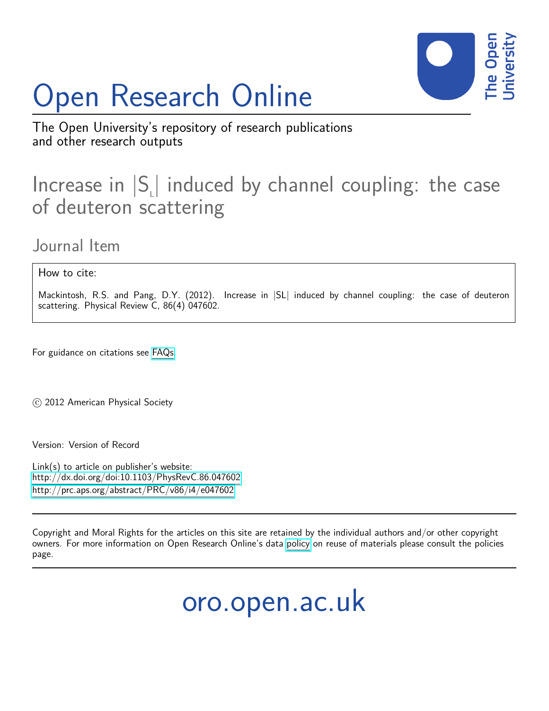# Open Research Online



The Open University's repository of research publications and other research outputs

# Increase in  $|S_{\iota}|$  induced by channel coupling: the case of deuteron scattering

Journal Item

How to cite:

Mackintosh, R.S. and Pang, D.Y. (2012). Increase in  $|SL|$  induced by channel coupling: the case of deuteron scattering. Physical Review C, 86(4) 047602.

For guidance on citations see [FAQs.](http://oro.open.ac.uk/help/helpfaq.html)

c 2012 American Physical Society

Version: Version of Record

Link(s) to article on publisher's website: <http://dx.doi.org/doi:10.1103/PhysRevC.86.047602> <http://prc.aps.org/abstract/PRC/v86/i4/e047602>

Copyright and Moral Rights for the articles on this site are retained by the individual authors and/or other copyright owners. For more information on Open Research Online's data [policy](http://oro.open.ac.uk/policies.html) on reuse of materials please consult the policies page.

oro.open.ac.uk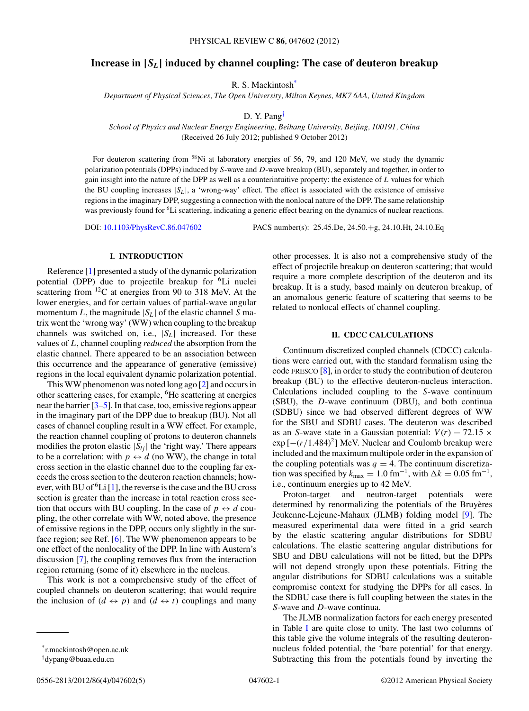### **Increase in |***SL***| induced by channel coupling: The case of deuteron breakup**

R. S. Mackintosh\*

*Department of Physical Sciences, The Open University, Milton Keynes, MK7 6AA, United Kingdom*

D. Y. Pang†

*School of Physics and Nuclear Energy Engineering, Beihang University, Beijing, 100191, China* (Received 26 July 2012; published 9 October 2012)

For deuteron scattering from <sup>58</sup>Ni at laboratory energies of 56, 79, and 120 MeV, we study the dynamic polarization potentials (DPPs) induced by *S*-wave and *D*-wave breakup (BU), separately and together, in order to gain insight into the nature of the DPP as well as a counterintuitive property: the existence of *L* values for which the BU coupling increases |*SL*|, a 'wrong-way' effect. The effect is associated with the existence of emissive regions in the imaginary DPP, suggesting a connection with the nonlocal nature of the DPP. The same relationship was previously found for <sup>6</sup>Li scattering, indicating a generic effect bearing on the dynamics of nuclear reactions.

DOI: [10.1103/PhysRevC.86.047602](http://dx.doi.org/10.1103/PhysRevC.86.047602) PACS number(s): 25*.*45*.*De, 24*.*50*.*+g, 24*.*10*.*Ht, 24*.*10*.*Eq

## **I. INTRODUCTION**

Reference [\[1\]](#page-4-0) presented a study of the dynamic polarization potential (DPP) due to projectile breakup for <sup>6</sup>Li nuclei scattering from <sup>12</sup>C at energies from 90 to 318 MeV. At the lower energies, and for certain values of partial-wave angular momentum *L*, the magnitude  $|S_L|$  of the elastic channel *S* matrix went the 'wrong way' (WW) when coupling to the breakup channels was switched on, i.e.,  $|S_L|$  increased. For these values of *L*, channel coupling *reduced* the absorption from the elastic channel. There appeared to be an association between this occurrence and the appearance of generative (emissive) regions in the local equivalent dynamic polarization potential.

This WW phenomenon was noted long ago [\[2\]](#page-4-0) and occurs in other scattering cases, for example, 6He scattering at energies near the barrier [\[3–5\]](#page-4-0). In that case, too, emissive regions appear in the imaginary part of the DPP due to breakup (BU). Not all cases of channel coupling result in a WW effect. For example, the reaction channel coupling of protons to deuteron channels modifies the proton elastic  $|S_{lj}|$  the 'right way.' There appears to be a correlation: with  $p \leftrightarrow d$  (no WW), the change in total cross section in the elastic channel due to the coupling far exceeds the cross section to the deuteron reaction channels; how-ever, with BU of <sup>6</sup>Li [\[1\]](#page-4-0), the reverse is the case and the BU cross section is greater than the increase in total reaction cross section that occurs with BU coupling. In the case of  $p \leftrightarrow d$  coupling, the other correlate with WW, noted above, the presence of emissive regions in the DPP, occurs only slightly in the surface region; see Ref. [\[6\]](#page-4-0). The WW phenomenon appears to be one effect of the nonlocality of the DPP. In line with Austern's discussion [\[7\]](#page-4-0), the coupling removes flux from the interaction region returning (some of it) elsewhere in the nucleus.

This work is not a comprehensive study of the effect of coupled channels on deuteron scattering; that would require the inclusion of  $(d \leftrightarrow p)$  and  $(d \leftrightarrow t)$  couplings and many other processes. It is also not a comprehensive study of the effect of projectile breakup on deuteron scattering; that would require a more complete description of the deuteron and its breakup. It is a study, based mainly on deuteron breakup, of an anomalous generic feature of scattering that seems to be related to nonlocal effects of channel coupling.

## **II. CDCC CALCULATIONS**

Continuum discretized coupled channels (CDCC) calculations were carried out, with the standard formalism using the code FRESCO [\[8\]](#page-4-0), in order to study the contribution of deuteron breakup (BU) to the effective deuteron-nucleus interaction. Calculations included coupling to the *S*-wave continuum (SBU), the *D*-wave continuum (DBU), and both continua (SDBU) since we had observed different degrees of WW for the SBU and SDBU cases. The deuteron was described as an *S*-wave state in a Gaussian potential:  $V(r) = 72.15 \times$  $\exp[-(r/1.484)^2]$  MeV. Nuclear and Coulomb breakup were included and the maximum multipole order in the expansion of the coupling potentials was  $q = 4$ . The continuum discretization was specified by  $k_{\text{max}} = 1.0 \text{ fm}^{-1}$ , with  $\Delta k = 0.05 \text{ fm}^{-1}$ , i.e., continuum energies up to 42 MeV.

Proton-target and neutron-target potentials were determined by renormalizing the potentials of the Bruyeres Jeukenne-Lejeune-Mahaux (JLMB) folding model [\[9\]](#page-4-0). The measured experimental data were fitted in a grid search by the elastic scattering angular distributions for SDBU calculations. The elastic scattering angular distributions for SBU and DBU calculations will not be fitted, but the DPPs will not depend strongly upon these potentials. Fitting the angular distributions for SDBU calculations was a suitable compromise context for studying the DPPs for all cases. In the SDBU case there is full coupling between the states in the *S*-wave and *D*-wave continua.

The JLMB normalization factors for each energy presented in Table [I](#page-2-0) are quite close to unity. The last two columns of this table give the volume integrals of the resulting deuteronnucleus folded potential, the 'bare potential' for that energy. Subtracting this from the potentials found by inverting the

<sup>\*</sup>r.mackintosh@open.ac.uk

<sup>†</sup> dypang@buaa.edu.cn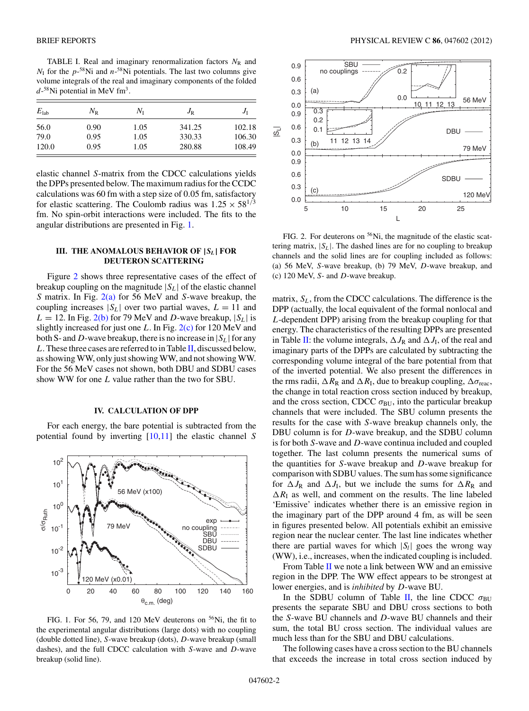<span id="page-2-0"></span>TABLE I. Real and imaginary renormalization factors  $N_R$  and  $N_{\rm I}$  for the  $p^{-58}$ Ni and  $n^{-58}$ Ni potentials. The last two columns give volume integrals of the real and imaginary components of the folded *d*-58Ni potential in MeV fm3.

| $E_{\rm lab}$ | $N_{\tt R}$ | $N_{\rm I}$ | $J_{\rm R}$ | $J_1$  |
|---------------|-------------|-------------|-------------|--------|
| 56.0          | 0.90        | 1.05        | 341.25      | 102.18 |
| 79.0          | 0.95        | 1.05        | 330.33      | 106.30 |
| 120.0         | 0.95        | 1.05        | 280.88      | 108.49 |

elastic channel *S*-matrix from the CDCC calculations yields the DPPs presented below. The maximum radius for the CCDC calculations was 60 fm with a step size of 0*.*05 fm, satisfactory for elastic scattering. The Coulomb radius was  $1.25 \times 58^{1/3}$ fm. No spin-orbit interactions were included. The fits to the angular distributions are presented in Fig. 1.

#### **III. THE ANOMALOUS BEHAVIOR OF |***SL***| FOR DEUTERON SCATTERING**

Figure 2 shows three representative cases of the effect of breakup coupling on the magnitude  $|S_L|$  of the elastic channel *S* matrix. In Fig. 2(a) for 56 MeV and *S*-wave breakup, the coupling increases  $|S_L|$  over two partial waves,  $L = 11$  and  $L = 12$ . In Fig. 2(b) for 79 MeV and *D*-wave breakup,  $|S_L|$  is slightly increased for just one *L*. In Fig. 2(c) for 120 MeV and both S- and D-wave breakup, there is no increase in  $|S_L|$  for any *L*. These three cases are referred to in Table [II,](#page-3-0) discussed below, as showing WW, only just showing WW, and not showing WW. For the 56 MeV cases not shown, both DBU and SDBU cases show WW for one *L* value rather than the two for SBU.

#### **IV. CALCULATION OF DPP**

For each energy, the bare potential is subtracted from the potential found by inverting [\[10,11\]](#page-5-0) the elastic channel *S*



FIG. 1. For 56, 79, and 120 MeV deuterons on <sup>56</sup>Ni, the fit to the experimental angular distributions (large dots) with no coupling (double dotted line), *S*-wave breakup (dots), *D*-wave breakup (small dashes), and the full CDCC calculation with *S*-wave and *D*-wave breakup (solid line).



FIG. 2. For deuterons on <sup>56</sup>Ni, the magnitude of the elastic scattering matrix,  $|S_L|$ . The dashed lines are for no coupling to breakup channels and the solid lines are for coupling included as follows: (a) 56 MeV, *S*-wave breakup, (b) 79 MeV, *D*-wave breakup, and (c) 120 MeV, *S*- and *D*-wave breakup.

matrix,  $S_L$ , from the CDCC calculations. The difference is the DPP (actually, the local equivalent of the formal nonlocal and *L*-dependent DPP) arising from the breakup coupling for that energy. The characteristics of the resulting DPPs are presented in Table [II:](#page-3-0) the volume integrals,  $\Delta J_R$  and  $\Delta J_I$ , of the real and imaginary parts of the DPPs are calculated by subtracting the corresponding volume integral of the bare potential from that of the inverted potential. We also present the differences in the rms radii,  $\Delta R_R$  and  $\Delta R_I$ , due to breakup coupling,  $\Delta \sigma_{\text{reac}}$ , the change in total reaction cross section induced by breakup, and the cross section, CDCC  $\sigma_{BU}$ , into the particular breakup channels that were included. The SBU column presents the results for the case with *S*-wave breakup channels only, the DBU column is for *D*-wave breakup, and the SDBU column is for both *S*-wave and *D*-wave continua included and coupled together. The last column presents the numerical sums of the quantities for *S*-wave breakup and *D*-wave breakup for comparison with SDBU values. The sum has some significance for  $\Delta J_R$  and  $\Delta J_I$ , but we include the sums for  $\Delta R_R$  and  $\Delta R_I$  as well, and comment on the results. The line labeled 'Emissive' indicates whether there is an emissive region in the imaginary part of the DPP around 4 fm, as will be seen in figures presented below. All potentials exhibit an emissive region near the nuclear center. The last line indicates whether there are partial waves for which  $|S_l|$  goes the wrong way (WW), i.e., increases, when the indicated coupling is included.

From Table [II](#page-3-0) we note a link between WW and an emissive region in the DPP. The WW effect appears to be strongest at lower energies, and is *inhibited* by *D*-wave BU.

In the SDBU column of Table [II,](#page-3-0) the line CDCC  $\sigma_{\text{BU}}$ presents the separate SBU and DBU cross sections to both the *S*-wave BU channels and *D*-wave BU channels and their sum, the total BU cross section. The individual values are much less than for the SBU and DBU calculations.

The following cases have a cross section to the BU channels that exceeds the increase in total cross section induced by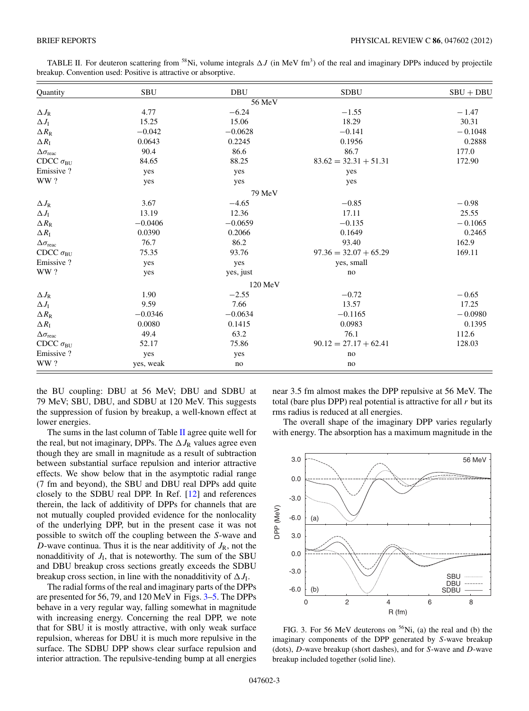<span id="page-3-0"></span>TABLE II. For deuteron scattering from <sup>58</sup>Ni, volume integrals  $\Delta J$  (in MeV fm<sup>3</sup>) of the real and imaginary DPPs induced by projectile breakup. Convention used: Positive is attractive or absorptive.

| Quantity                      | <b>SBU</b> | <b>DBU</b> | <b>SDBU</b>             | $SBU + DBU$ |
|-------------------------------|------------|------------|-------------------------|-------------|
|                               |            | 56 MeV     |                         |             |
| $\Delta J_{\rm R}$            | 4.77       | $-6.24$    | $-1.55$                 | $-1.47$     |
| $\Delta J_{\rm I}$            | 15.25      | 15.06      | 18.29                   | 30.31       |
| $\Delta R_{\rm R}$            | $-0.042$   | $-0.0628$  | $-0.141$                | $-0.1048$   |
| $\Delta R_{\rm I}$            | 0.0643     | 0.2245     | 0.1956                  | 0.2888      |
| $\Delta \sigma_{\text{reac}}$ | 90.4       | 86.6       | 86.7                    | 177.0       |
| CDCC $\sigma_{\text{BU}}$     | 84.65      | 88.25      | $83.62 = 32.31 + 51.31$ | 172.90      |
| Emissive ?                    | yes        | yes        | yes                     |             |
| WW?                           | yes        | yes        | yes                     |             |
|                               |            | 79 MeV     |                         |             |
| $\Delta J_{\rm R}$            | 3.67       | $-4.65$    | $-0.85$                 | $-0.98$     |
| $\Delta J_{\rm I}$            | 13.19      | 12.36      | 17.11                   | 25.55       |
| $\Delta R_{\rm R}$            | $-0.0406$  | $-0.0659$  | $-0.135$                | $-0.1065$   |
| $\Delta R_{\rm I}$            | 0.0390     | 0.2066     | 0.1649                  | 0.2465      |
| $\Delta \sigma_{\text{reac}}$ | 76.7       | 86.2       | 93.40                   | 162.9       |
| CDCC $\sigma_{BU}$            | 75.35      | 93.76      | $97.36 = 32.07 + 65.29$ | 169.11      |
| Emissive ?                    | yes        | yes        | yes, small              |             |
| WW?                           | yes        | yes, just  | $\rm no$                |             |
|                               |            | 120 MeV    |                         |             |
| $\Delta J_{\rm R}$            | 1.90       | $-2.55$    | $-0.72$                 | $-0.65$     |
| $\Delta J_{\rm I}$            | 9.59       | 7.66       | 13.57                   | 17.25       |
| $\Delta R_{\rm R}$            | $-0.0346$  | $-0.0634$  | $-0.1165$               | $-0.0980$   |
| $\Delta R_{\rm I}$            | 0.0080     | 0.1415     | 0.0983                  | 0.1395      |
| $\Delta \sigma_{\text{reac}}$ | 49.4       | 63.2       | 76.1                    | 112.6       |
| CDCC $\sigma_{\text{BU}}$     | 52.17      | 75.86      | $90.12 = 27.17 + 62.41$ | 128.03      |
| Emissive?                     | yes        | yes        | no                      |             |
| WW?                           | yes, weak  | no         | no                      |             |

the BU coupling: DBU at 56 MeV; DBU and SDBU at 79 MeV; SBU, DBU, and SDBU at 120 MeV. This suggests the suppression of fusion by breakup, a well-known effect at lower energies.

The sums in the last column of Table II agree quite well for the real, but not imaginary, DPPs. The  $\Delta J_R$  values agree even though they are small in magnitude as a result of subtraction between substantial surface repulsion and interior attractive effects. We show below that in the asymptotic radial range (7 fm and beyond), the SBU and DBU real DPPs add quite closely to the SDBU real DPP. In Ref. [\[12\]](#page-5-0) and references therein, the lack of additivity of DPPs for channels that are not mutually coupled provided evidence for the nonlocality of the underlying DPP, but in the present case it was not possible to switch off the coupling between the *S*-wave and *D*-wave continua. Thus it is the near additivity of  $J_R$ , not the nonadditivity of  $J<sub>I</sub>$ , that is noteworthy. The sum of the SBU and DBU breakup cross sections greatly exceeds the SDBU breakup cross section, in line with the nonadditivity of  $\Delta J_1$ .

The radial forms of the real and imaginary parts of the DPPs are presented for 56, 79, and 120 MeV in Figs. 3[–5.](#page-4-0) The DPPs behave in a very regular way, falling somewhat in magnitude with increasing energy. Concerning the real DPP, we note that for SBU it is mostly attractive, with only weak surface repulsion, whereas for DBU it is much more repulsive in the surface. The SDBU DPP shows clear surface repulsion and interior attraction. The repulsive-tending bump at all energies

near 3.5 fm almost makes the DPP repulsive at 56 MeV. The total (bare plus DPP) real potential is attractive for all  $r$  but its rms radius is reduced at all energies.

The overall shape of the imaginary DPP varies regularly with energy. The absorption has a maximum magnitude in the



FIG. 3. For 56 MeV deuterons on 56Ni, (a) the real and (b) the imaginary components of the DPP generated by *S*-wave breakup (dots), *D*-wave breakup (short dashes), and for *S*-wave and *D*-wave breakup included together (solid line).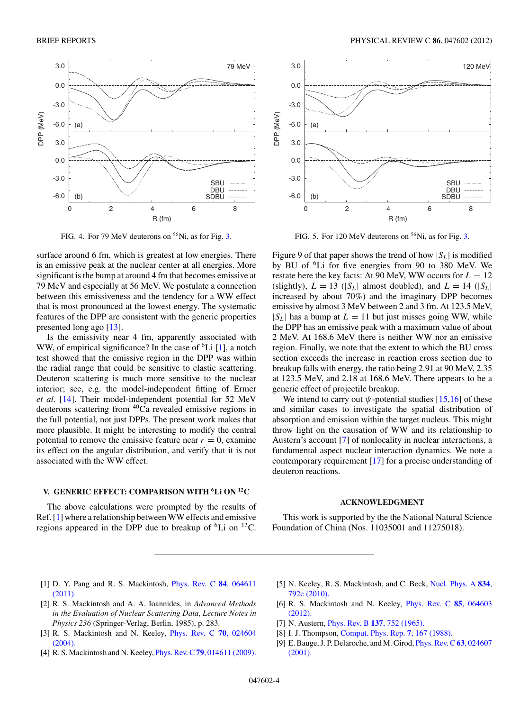<span id="page-4-0"></span>

FIG. 4. For 79 MeV deuterons on  $56$ Ni, as for Fig. [3.](#page-3-0)

surface around 6 fm, which is greatest at low energies. There is an emissive peak at the nuclear center at all energies. More significant is the bump at around 4 fm that becomes emissive at 79 MeV and especially at 56 MeV. We postulate a connection between this emissiveness and the tendency for a WW effect that is most pronounced at the lowest energy. The systematic features of the DPP are consistent with the generic properties presented long ago [\[13\]](#page-5-0).

Is the emissivity near 4 fm, apparently associated with WW, of empirical significance? In the case of  ${}^{6}Li$  [1], a notch test showed that the emissive region in the DPP was within the radial range that could be sensitive to elastic scattering. Deuteron scattering is much more sensitive to the nuclear interior; see, e.g. the model-independent fitting of Ermer *et al.* [\[14\]](#page-5-0). Their model-independent potential for 52 MeV deuterons scattering from 40Ca revealed emissive regions in the full potential, not just DPPs. The present work makes that more plausible. It might be interesting to modify the central potential to remove the emissive feature near  $r = 0$ , examine its effect on the angular distribution, and verify that it is not associated with the WW effect.

#### **V. GENERIC EFFECT: COMPARISON WITH 6Li ON 12C**

The above calculations were prompted by the results of Ref. [1] where a relationship between WW effects and emissive regions appeared in the DPP due to breakup of  ${}^{6}$ Li on  ${}^{12}$ C.



FIG. 5. For 120 MeV deuterons on <sup>56</sup>Ni, as for Fig. [3.](#page-3-0)

Figure 9 of that paper shows the trend of how  $|S_L|$  is modified by BU of 6Li for five energies from 90 to 380 MeV. We restate here the key facts: At 90 MeV, WW occurs for  $L = 12$ (slightly),  $L = 13$  ( $|S_L|$  almost doubled), and  $L = 14$  ( $|S_L|$ ) increased by about 70%) and the imaginary DPP becomes emissive by almost 3 MeV between 2 and 3 fm. At 123.5 MeV,  $|S_L|$  has a bump at  $L = 11$  but just misses going WW, while the DPP has an emissive peak with a maximum value of about 2 MeV. At 168.6 MeV there is neither WW nor an emissive region. Finally, we note that the extent to which the BU cross section exceeds the increase in reaction cross section due to breakup falls with energy, the ratio being 2.91 at 90 MeV, 2.35 at 123.5 MeV, and 2.18 at 168.6 MeV. There appears to be a generic effect of projectile breakup.

We intend to carry out  $\psi$ -potential studies  $[15,16]$  of these and similar cases to investigate the spatial distribution of absorption and emission within the target nucleus. This might throw light on the causation of WW and its relationship to Austern's account [7] of nonlocality in nuclear interactions, a fundamental aspect nuclear interaction dynamics. We note a contemporary requirement [\[17\]](#page-5-0) for a precise understanding of deuteron reactions.

#### **ACKNOWLEDGMENT**

This work is supported by the the National Natural Science Foundation of China (Nos. 11035001 and 11275018).

- [1] D. Y. Pang and R. S. Mackintosh, [Phys. Rev. C](http://dx.doi.org/10.1103/PhysRevC.84.064611) **84**, 064611 [\(2011\).](http://dx.doi.org/10.1103/PhysRevC.84.064611)
- [2] R. S. Mackintosh and A. A. Ioannides, in *Advanced Methods in the Evaluation of Nuclear Scattering Data, Lecture Notes in Physics 236* (Springer-Verlag, Berlin, 1985), p. 283.
- [3] R. S. Mackintosh and N. Keeley, [Phys. Rev. C](http://dx.doi.org/10.1103/PhysRevC.70.024604) **70**, 024604 [\(2004\).](http://dx.doi.org/10.1103/PhysRevC.70.024604)
- [4] R. S. Mackintosh and N. Keeley, Phys. Rev. C**79**[, 014611 \(2009\).](http://dx.doi.org/10.1103/PhysRevC.79.014611)
- [5] N. Keeley, R. S. Mackintosh, and C. Beck, [Nucl. Phys. A](http://dx.doi.org/10.1016/j.nuclphysa.2010.01.148) **834**, [792c \(2010\).](http://dx.doi.org/10.1016/j.nuclphysa.2010.01.148)
- [6] R. S. Mackintosh and N. Keeley, [Phys. Rev. C](http://dx.doi.org/10.1103/PhysRevC.85.064603) **85**, 064603 [\(2012\).](http://dx.doi.org/10.1103/PhysRevC.85.064603)
- [7] N. Austern, Phys. Rev. B **137**[, 752 \(1965\).](http://dx.doi.org/10.1103/PhysRev.137.B752)
- [8] I. J. Thompson, [Comput. Phys. Rep.](http://dx.doi.org/10.1016/0167-7977(88)90005-6) **7**, 167 (1988).
- [9] E. Bauge, J. P. Delaroche, and M. Girod, [Phys. Rev. C](http://dx.doi.org/10.1103/PhysRevC.63.024607)**63**, 024607 [\(2001\).](http://dx.doi.org/10.1103/PhysRevC.63.024607)